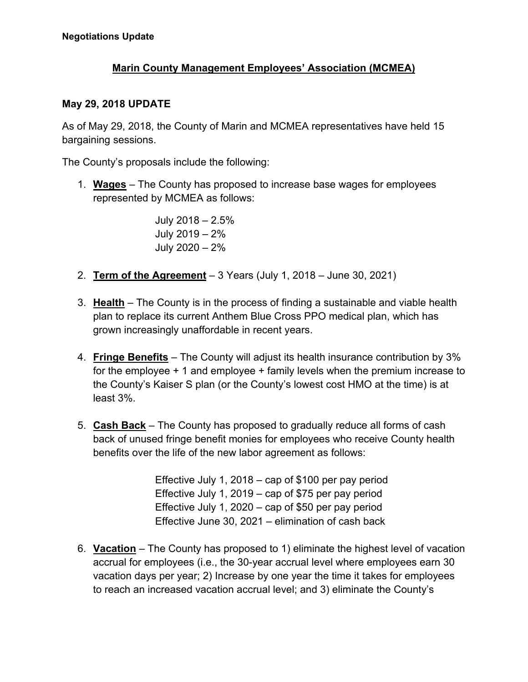## **Marin County Management Employees' Association (MCMEA)**

## **May 29, 2018 UPDATE**

As of May 29, 2018, the County of Marin and MCMEA representatives have held 15 bargaining sessions.

The County's proposals include the following:

1. **Wages** – The County has proposed to increase base wages for employees represented by MCMEA as follows:

> July 2018 – 2.5% July 2019 – 2% July 2020 – 2%

- 2. **Term of the Agreement** 3 Years (July 1, 2018 June 30, 2021)
- 3. **Health** The County is in the process of finding a sustainable and viable health plan to replace its current Anthem Blue Cross PPO medical plan, which has grown increasingly unaffordable in recent years.
- 4. **Fringe Benefits** The County will adjust its health insurance contribution by 3% for the employee + 1 and employee + family levels when the premium increase to the County's Kaiser S plan (or the County's lowest cost HMO at the time) is at least 3%.
- 5. **Cash Back** The County has proposed to gradually reduce all forms of cash back of unused fringe benefit monies for employees who receive County health benefits over the life of the new labor agreement as follows:

Effective July 1, 2018 – cap of \$100 per pay period Effective July 1, 2019 – cap of \$75 per pay period Effective July 1, 2020 – cap of \$50 per pay period Effective June 30, 2021 – elimination of cash back

6. **Vacation** – The County has proposed to 1) eliminate the highest level of vacation accrual for employees (i.e., the 30-year accrual level where employees earn 30 vacation days per year; 2) Increase by one year the time it takes for employees to reach an increased vacation accrual level; and 3) eliminate the County's